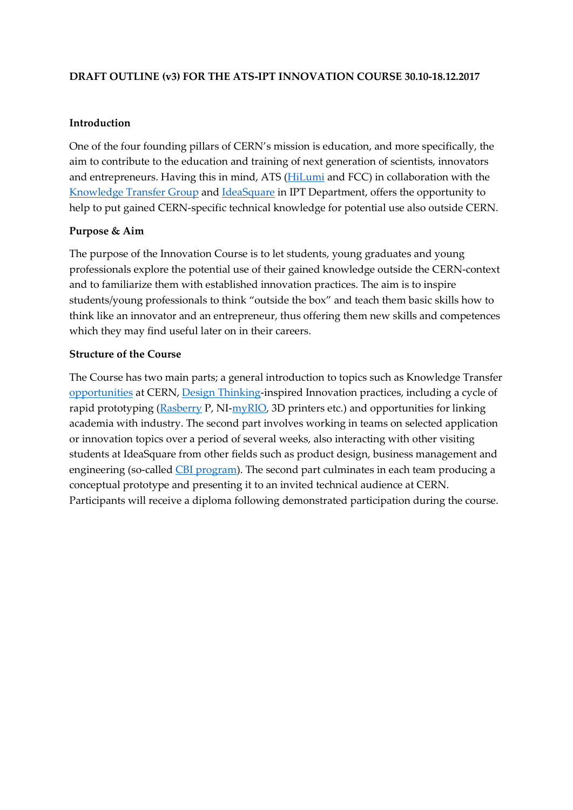# **DRAFT OUTLINE (v3) FOR THE ATS-IPT INNOVATION COURSE 30.10-18.12.2017**

## **Introduction**

One of the four founding pillars of CERN's mission is education, and more specifically, the aim to contribute to the education and training of next generation of scientists, innovators and entrepreneurs. Having this in mind, ATS [\(HiLumi](http://hilumilhc.web.cern.ch/) and FCC) in collaboration with the [Knowledge Transfer Group](http://kt.cern/) an[d IdeaSquare](http://www.cern.ch/ideasquare) in IPT Department, offers the opportunity to help to put gained CERN-specific technical knowledge for potential use also outside CERN.

# **Purpose & Aim**

The purpose of the Innovation Course is to let students, young graduates and young professionals explore the potential use of their gained knowledge outside the CERN-context and to familiarize them with established innovation practices. The aim is to inspire students/young professionals to think "outside the box" and teach them basic skills how to think like an innovator and an entrepreneur, thus offering them new skills and competences which they may find useful later on in their careers.

#### **Structure of the Course**

The Course has two main parts; a general introduction to topics such as Knowledge Transfer [opportunities](https://kt.cern/cern-community) at CERN, [Design Thinking-](https://hbr.org/2008/06/design-thinking)inspired Innovation practices, including a cycle of rapid prototyping [\(Rasberry](https://www.raspberrypi.org/magpi/circuit-starter-guide/) P, NI[-myRIO,](http://www.ni.com/en-us/shop/select/myrio-student-embedded-device) 3D printers etc.) and opportunities for linking academia with industry. The second part involves working in teams on selected application or innovation topics over a period of several weeks, also interacting with other visiting students at IdeaSquare from other fields such as product design, business management and engineering (so-called [CBI program\)](http://www.cbi-course.com/). The second part culminates in each team producing a conceptual prototype and presenting it to an invited technical audience at CERN. Participants will receive a diploma following demonstrated participation during the course.